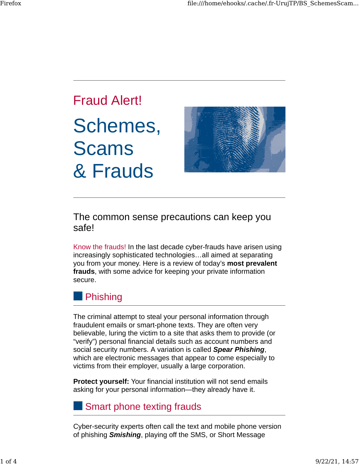# Fraud Alert! Schemes, Scams & Frauds



The common sense precautions can keep you safe!

Know the frauds! In the last decade cyber-frauds have arisen using increasingly sophisticated technologies…all aimed at separating you from your money. Here is a review of today's **most prevalent frauds**, with some advice for keeping your private information secure.



The criminal attempt to steal your personal information through fraudulent emails or smart-phone texts. They are often very believable, luring the victim to a site that asks them to provide (or "verify") personal financial details such as account numbers and social security numbers. A variation is called *Spear Phishing*, which are electronic messages that appear to come especially to victims from their employer, usually a large corporation.

**Protect yourself:** Your financial institution will not send emails asking for your personal information—they already have it.

### Smart phone texting frauds

Cyber-security experts often call the text and mobile phone version of phishing *Smishing*, playing off the SMS, or Short Message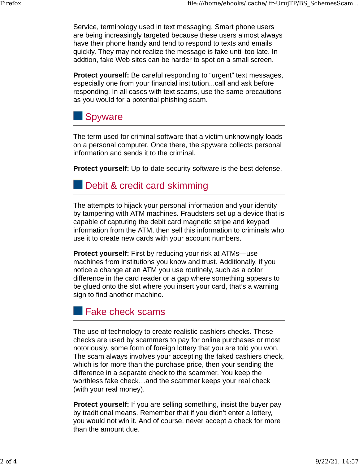Service, terminology used in text messaging. Smart phone users are being increasingly targeted because these users almost always have their phone handy and tend to respond to texts and emails quickly. They may not realize the message is fake until too late. In addtion, fake Web sites can be harder to spot on a small screen.

**Protect yourself:** Be careful responding to "urgent" text messages, especially one from your financial institution...call and ask before responding. In all cases with text scams, use the same precautions as you would for a potential phishing scam.



The term used for criminal software that a victim unknowingly loads on a personal computer. Once there, the spyware collects personal information and sends it to the criminal.

**Protect yourself:** Up-to-date security software is the best defense.

#### **Debit & credit card skimming**

The attempts to hijack your personal information and your identity by tampering with ATM machines. Fraudsters set up a device that is capable of capturing the debit card magnetic stripe and keypad information from the ATM, then sell this information to criminals who use it to create new cards with your account numbers.

**Protect yourself:** First by reducing your risk at ATMs—use machines from institutions you know and trust. Additionally, if you notice a change at an ATM you use routinely, such as a color difference in the card reader or a gap where something appears to be glued onto the slot where you insert your card, that's a warning sign to find another machine.

**Fake check scams** 

The use of technology to create realistic cashiers checks. These checks are used by scammers to pay for online purchases or most notoriously, some form of foreign lottery that you are told you won. The scam always involves your accepting the faked cashiers check, which is for more than the purchase price, then your sending the difference in a separate check to the scammer. You keep the worthless fake check…and the scammer keeps your real check (with your real money).

**Protect yourself:** If you are selling something, insist the buyer pay by traditional means. Remember that if you didn't enter a lottery, you would not win it. And of course, never accept a check for more than the amount due.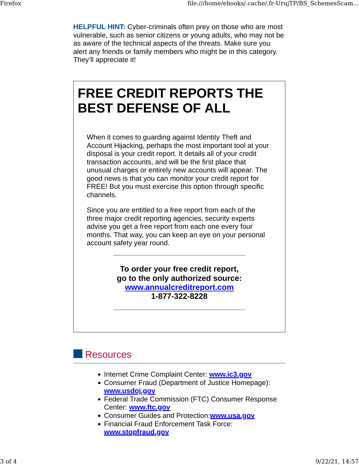**HELPFUL HINT:** Cyber-criminals often prey on those who are most vulnerable, such as senior citizens or young adults, who may not be as aware of the technical aspects of the threats. Make sure you alert any friends or family members who might be in this category. They'll appreciate it!

## **FREE CREDIT REPORTS THE BEST DEFENSE OF ALL**

When it comes to guarding against Identity Theft and Account Hijacking, perhaps the most important tool at your disposal is your credit report. It details all of your credit transaction accounts, and will be the first place that unusual charges or entirely new accounts will appear. The good news is that you can monitor your credit report for FREE! But you must exercise this option through specific channels.

Since you are entitled to a free report from each of the three major credit reporting agencies, security experts advise you get a free report from each one every four months. That way, you can keep an eye on your personal account safety year round.

> **To order your free credit report, go to the only authorized source: [www.annualcreditreport.com](http://www.annualcreditreport.com/) 1-877-322-8228**

#### Resources

- Internet Crime Complaint Center: **[www.ic3.gov](http://www.ic3.gov/)**
- Consumer Fraud (Department of Justice Homepage): **[www.usdoj.gov](http://www.usdoj.gov/)**
- Federal Trade Commission (FTC) Consumer Response Center: **[www.ftc.gov](http://www.ftc.gov/)**
- Consumer Guides and Protection:**[www.usa.gov](http://www.usa.gov/)**
- Financial Fraud Enforcement Task Force: **[www.stopfraud.gov](http://www.stopfraud.gov/)**